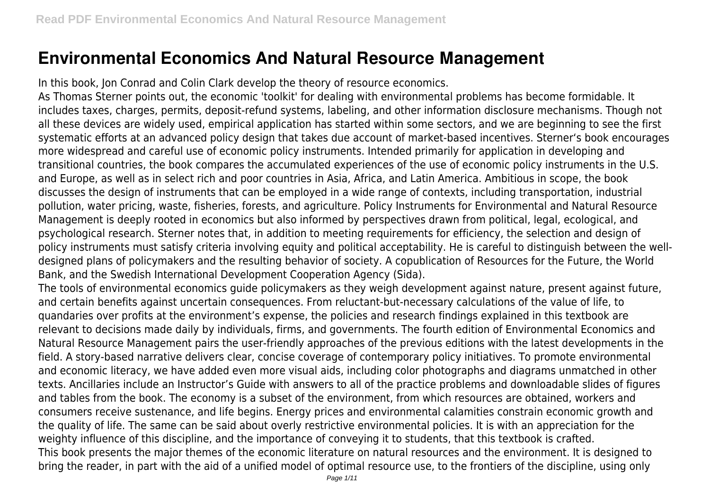## **Environmental Economics And Natural Resource Management**

In this book, Jon Conrad and Colin Clark develop the theory of resource economics.

As Thomas Sterner points out, the economic 'toolkit' for dealing with environmental problems has become formidable. It includes taxes, charges, permits, deposit-refund systems, labeling, and other information disclosure mechanisms. Though not all these devices are widely used, empirical application has started within some sectors, and we are beginning to see the first systematic efforts at an advanced policy design that takes due account of market-based incentives. Sterner's book encourages more widespread and careful use of economic policy instruments. Intended primarily for application in developing and transitional countries, the book compares the accumulated experiences of the use of economic policy instruments in the U.S. and Europe, as well as in select rich and poor countries in Asia, Africa, and Latin America. Ambitious in scope, the book discusses the design of instruments that can be employed in a wide range of contexts, including transportation, industrial pollution, water pricing, waste, fisheries, forests, and agriculture. Policy Instruments for Environmental and Natural Resource Management is deeply rooted in economics but also informed by perspectives drawn from political, legal, ecological, and psychological research. Sterner notes that, in addition to meeting requirements for efficiency, the selection and design of policy instruments must satisfy criteria involving equity and political acceptability. He is careful to distinguish between the welldesigned plans of policymakers and the resulting behavior of society. A copublication of Resources for the Future, the World Bank, and the Swedish International Development Cooperation Agency (Sida).

The tools of environmental economics guide policymakers as they weigh development against nature, present against future, and certain benefits against uncertain consequences. From reluctant-but-necessary calculations of the value of life, to quandaries over profits at the environment's expense, the policies and research findings explained in this textbook are relevant to decisions made daily by individuals, firms, and governments. The fourth edition of Environmental Economics and Natural Resource Management pairs the user-friendly approaches of the previous editions with the latest developments in the field. A story-based narrative delivers clear, concise coverage of contemporary policy initiatives. To promote environmental and economic literacy, we have added even more visual aids, including color photographs and diagrams unmatched in other texts. Ancillaries include an Instructor's Guide with answers to all of the practice problems and downloadable slides of figures and tables from the book. The economy is a subset of the environment, from which resources are obtained, workers and consumers receive sustenance, and life begins. Energy prices and environmental calamities constrain economic growth and the quality of life. The same can be said about overly restrictive environmental policies. It is with an appreciation for the weighty influence of this discipline, and the importance of conveying it to students, that this textbook is crafted. This book presents the major themes of the economic literature on natural resources and the environment. It is designed to bring the reader, in part with the aid of a unified model of optimal resource use, to the frontiers of the discipline, using only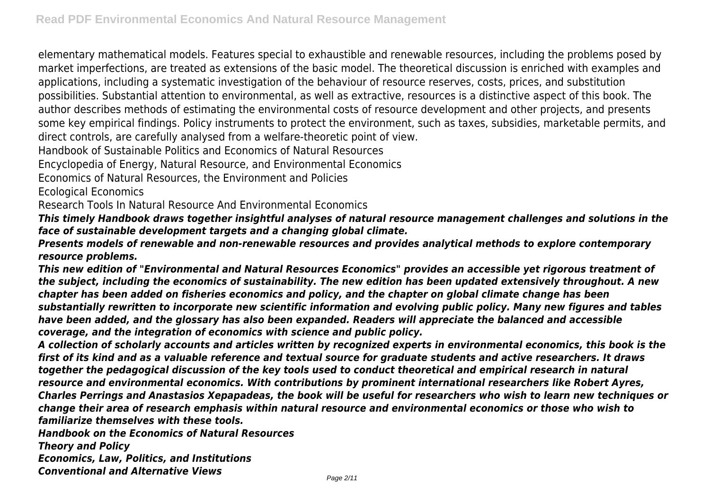elementary mathematical models. Features special to exhaustible and renewable resources, including the problems posed by market imperfections, are treated as extensions of the basic model. The theoretical discussion is enriched with examples and applications, including a systematic investigation of the behaviour of resource reserves, costs, prices, and substitution possibilities. Substantial attention to environmental, as well as extractive, resources is a distinctive aspect of this book. The author describes methods of estimating the environmental costs of resource development and other projects, and presents some key empirical findings. Policy instruments to protect the environment, such as taxes, subsidies, marketable permits, and direct controls, are carefully analysed from a welfare-theoretic point of view.

Handbook of Sustainable Politics and Economics of Natural Resources

Encyclopedia of Energy, Natural Resource, and Environmental Economics

Economics of Natural Resources, the Environment and Policies

Ecological Economics

Research Tools In Natural Resource And Environmental Economics

*This timely Handbook draws together insightful analyses of natural resource management challenges and solutions in the face of sustainable development targets and a changing global climate.*

*Presents models of renewable and non-renewable resources and provides analytical methods to explore contemporary resource problems.*

*This new edition of "Environmental and Natural Resources Economics" provides an accessible yet rigorous treatment of the subject, including the economics of sustainability. The new edition has been updated extensively throughout. A new chapter has been added on fisheries economics and policy, and the chapter on global climate change has been substantially rewritten to incorporate new scientific information and evolving public policy. Many new figures and tables have been added, and the glossary has also been expanded. Readers will appreciate the balanced and accessible coverage, and the integration of economics with science and public policy.*

*A collection of scholarly accounts and articles written by recognized experts in environmental economics, this book is the first of its kind and as a valuable reference and textual source for graduate students and active researchers. It draws together the pedagogical discussion of the key tools used to conduct theoretical and empirical research in natural resource and environmental economics. With contributions by prominent international researchers like Robert Ayres, Charles Perrings and Anastasios Xepapadeas, the book will be useful for researchers who wish to learn new techniques or change their area of research emphasis within natural resource and environmental economics or those who wish to familiarize themselves with these tools.*

*Handbook on the Economics of Natural Resources*

*Theory and Policy*

*Economics, Law, Politics, and Institutions*

*Conventional and Alternative Views*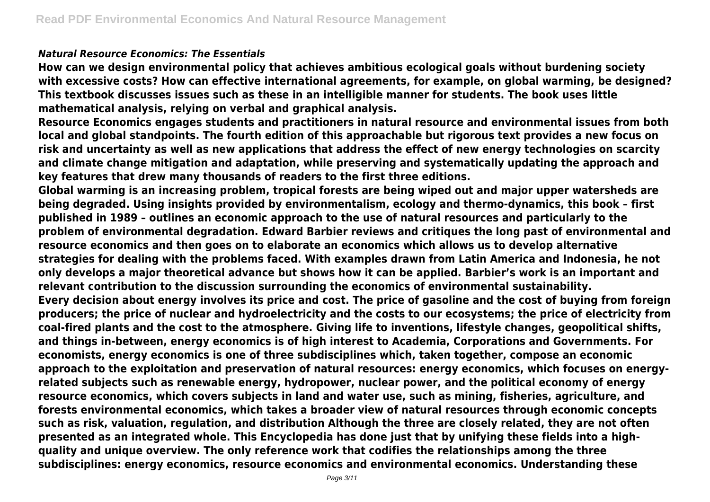## *Natural Resource Economics: The Essentials*

**How can we design environmental policy that achieves ambitious ecological goals without burdening society with excessive costs? How can effective international agreements, for example, on global warming, be designed? This textbook discusses issues such as these in an intelligible manner for students. The book uses little mathematical analysis, relying on verbal and graphical analysis.**

**Resource Economics engages students and practitioners in natural resource and environmental issues from both local and global standpoints. The fourth edition of this approachable but rigorous text provides a new focus on risk and uncertainty as well as new applications that address the effect of new energy technologies on scarcity and climate change mitigation and adaptation, while preserving and systematically updating the approach and key features that drew many thousands of readers to the first three editions.**

**Global warming is an increasing problem, tropical forests are being wiped out and major upper watersheds are being degraded. Using insights provided by environmentalism, ecology and thermo-dynamics, this book – first published in 1989 – outlines an economic approach to the use of natural resources and particularly to the problem of environmental degradation. Edward Barbier reviews and critiques the long past of environmental and resource economics and then goes on to elaborate an economics which allows us to develop alternative strategies for dealing with the problems faced. With examples drawn from Latin America and Indonesia, he not only develops a major theoretical advance but shows how it can be applied. Barbier's work is an important and relevant contribution to the discussion surrounding the economics of environmental sustainability. Every decision about energy involves its price and cost. The price of gasoline and the cost of buying from foreign producers; the price of nuclear and hydroelectricity and the costs to our ecosystems; the price of electricity from coal-fired plants and the cost to the atmosphere. Giving life to inventions, lifestyle changes, geopolitical shifts, and things in-between, energy economics is of high interest to Academia, Corporations and Governments. For economists, energy economics is one of three subdisciplines which, taken together, compose an economic approach to the exploitation and preservation of natural resources: energy economics, which focuses on energyrelated subjects such as renewable energy, hydropower, nuclear power, and the political economy of energy resource economics, which covers subjects in land and water use, such as mining, fisheries, agriculture, and forests environmental economics, which takes a broader view of natural resources through economic concepts such as risk, valuation, regulation, and distribution Although the three are closely related, they are not often presented as an integrated whole. This Encyclopedia has done just that by unifying these fields into a highquality and unique overview. The only reference work that codifies the relationships among the three subdisciplines: energy economics, resource economics and environmental economics. Understanding these**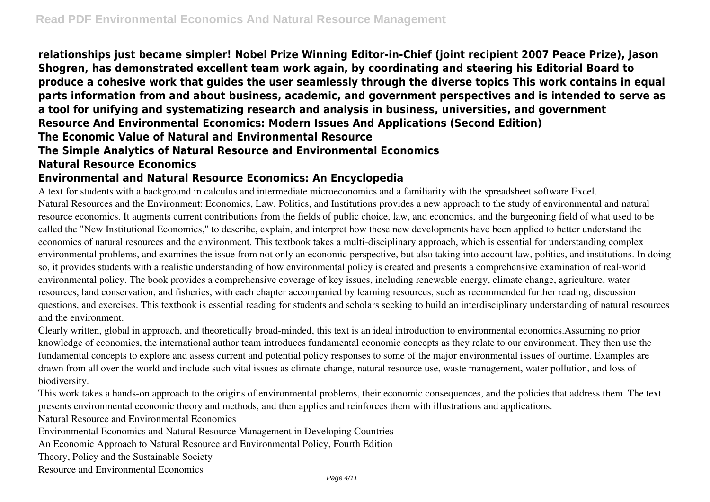**relationships just became simpler! Nobel Prize Winning Editor-in-Chief (joint recipient 2007 Peace Prize), Jason Shogren, has demonstrated excellent team work again, by coordinating and steering his Editorial Board to produce a cohesive work that guides the user seamlessly through the diverse topics This work contains in equal parts information from and about business, academic, and government perspectives and is intended to serve as a tool for unifying and systematizing research and analysis in business, universities, and government Resource And Environmental Economics: Modern Issues And Applications (Second Edition) The Economic Value of Natural and Environmental Resource The Simple Analytics of Natural Resource and Environmental Economics Natural Resource Economics**

## **Environmental and Natural Resource Economics: An Encyclopedia**

A text for students with a background in calculus and intermediate microeconomics and a familiarity with the spreadsheet software Excel. Natural Resources and the Environment: Economics, Law, Politics, and Institutions provides a new approach to the study of environmental and natural resource economics. It augments current contributions from the fields of public choice, law, and economics, and the burgeoning field of what used to be called the "New Institutional Economics," to describe, explain, and interpret how these new developments have been applied to better understand the economics of natural resources and the environment. This textbook takes a multi-disciplinary approach, which is essential for understanding complex environmental problems, and examines the issue from not only an economic perspective, but also taking into account law, politics, and institutions. In doing so, it provides students with a realistic understanding of how environmental policy is created and presents a comprehensive examination of real-world environmental policy. The book provides a comprehensive coverage of key issues, including renewable energy, climate change, agriculture, water resources, land conservation, and fisheries, with each chapter accompanied by learning resources, such as recommended further reading, discussion questions, and exercises. This textbook is essential reading for students and scholars seeking to build an interdisciplinary understanding of natural resources and the environment.

Clearly written, global in approach, and theoretically broad-minded, this text is an ideal introduction to environmental economics.Assuming no prior knowledge of economics, the international author team introduces fundamental economic concepts as they relate to our environment. They then use the fundamental concepts to explore and assess current and potential policy responses to some of the major environmental issues of ourtime. Examples are drawn from all over the world and include such vital issues as climate change, natural resource use, waste management, water pollution, and loss of biodiversity.

This work takes a hands-on approach to the origins of environmental problems, their economic consequences, and the policies that address them. The text presents environmental economic theory and methods, and then applies and reinforces them with illustrations and applications.

Natural Resource and Environmental Economics

Environmental Economics and Natural Resource Management in Developing Countries

An Economic Approach to Natural Resource and Environmental Policy, Fourth Edition

Theory, Policy and the Sustainable Society

Resource and Environmental Economics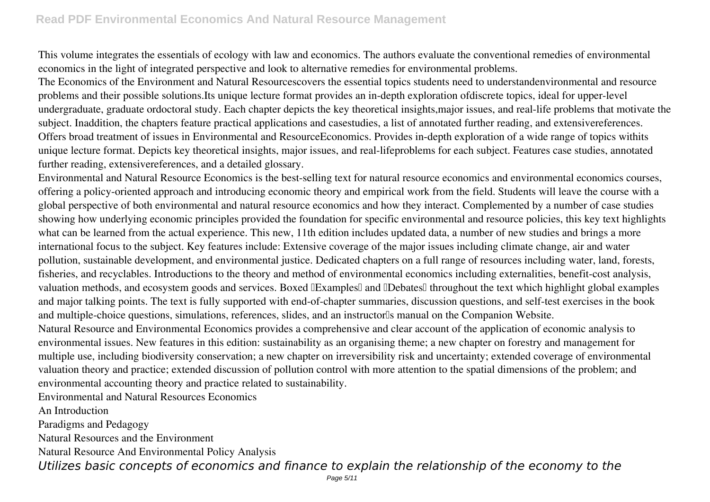This volume integrates the essentials of ecology with law and economics. The authors evaluate the conventional remedies of environmental economics in the light of integrated perspective and look to alternative remedies for environmental problems.

The Economics of the Environment and Natural Resourcescovers the essential topics students need to understandenvironmental and resource problems and their possible solutions.Its unique lecture format provides an in-depth exploration ofdiscrete topics, ideal for upper-level undergraduate, graduate ordoctoral study. Each chapter depicts the key theoretical insights,major issues, and real-life problems that motivate the subject. Inaddition, the chapters feature practical applications and casestudies, a list of annotated further reading, and extensivereferences. Offers broad treatment of issues in Environmental and ResourceEconomics. Provides in-depth exploration of a wide range of topics withits unique lecture format. Depicts key theoretical insights, major issues, and real-lifeproblems for each subject. Features case studies, annotated further reading, extensivereferences, and a detailed glossary.

Environmental and Natural Resource Economics is the best-selling text for natural resource economics and environmental economics courses, offering a policy-oriented approach and introducing economic theory and empirical work from the field. Students will leave the course with a global perspective of both environmental and natural resource economics and how they interact. Complemented by a number of case studies showing how underlying economic principles provided the foundation for specific environmental and resource policies, this key text highlights what can be learned from the actual experience. This new, 11th edition includes updated data, a number of new studies and brings a more international focus to the subject. Key features include: Extensive coverage of the major issues including climate change, air and water pollution, sustainable development, and environmental justice. Dedicated chapters on a full range of resources including water, land, forests, fisheries, and recyclables. Introductions to the theory and method of environmental economics including externalities, benefit-cost analysis, valuation methods, and ecosystem goods and services. Boxed **IExamples** and **IDebates** throughout the text which highlight global examples and major talking points. The text is fully supported with end-of-chapter summaries, discussion questions, and self-test exercises in the book and multiple-choice questions, simulations, references, slides, and an instructor<sup>[]</sup>s manual on the Companion Website.

Natural Resource and Environmental Economics provides a comprehensive and clear account of the application of economic analysis to environmental issues. New features in this edition: sustainability as an organising theme; a new chapter on forestry and management for multiple use, including biodiversity conservation; a new chapter on irreversibility risk and uncertainty; extended coverage of environmental valuation theory and practice; extended discussion of pollution control with more attention to the spatial dimensions of the problem; and environmental accounting theory and practice related to sustainability.

Environmental and Natural Resources Economics

An Introduction

Paradigms and Pedagogy

Natural Resources and the Environment

Natural Resource And Environmental Policy Analysis

*Utilizes basic concepts of economics and finance to explain the relationship of the economy to the*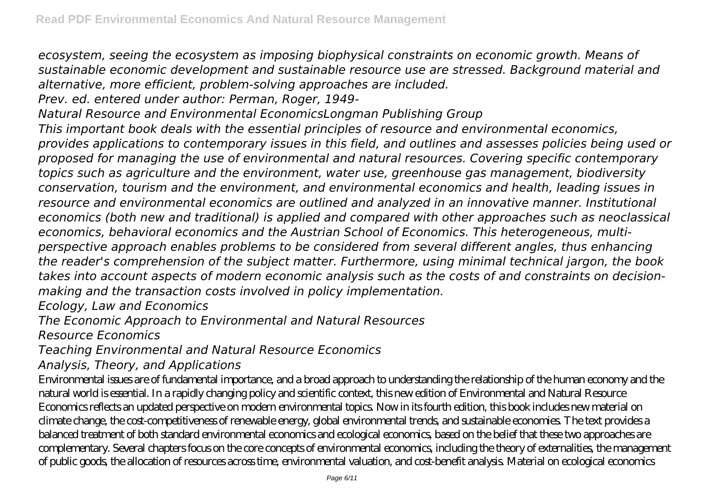*ecosystem, seeing the ecosystem as imposing biophysical constraints on economic growth. Means of sustainable economic development and sustainable resource use are stressed. Background material and alternative, more efficient, problem-solving approaches are included.*

*Prev. ed. entered under author: Perman, Roger, 1949-*

*Natural Resource and Environmental EconomicsLongman Publishing Group*

*This important book deals with the essential principles of resource and environmental economics, provides applications to contemporary issues in this field, and outlines and assesses policies being used or proposed for managing the use of environmental and natural resources. Covering specific contemporary topics such as agriculture and the environment, water use, greenhouse gas management, biodiversity conservation, tourism and the environment, and environmental economics and health, leading issues in resource and environmental economics are outlined and analyzed in an innovative manner. Institutional economics (both new and traditional) is applied and compared with other approaches such as neoclassical economics, behavioral economics and the Austrian School of Economics. This heterogeneous, multiperspective approach enables problems to be considered from several different angles, thus enhancing the reader's comprehension of the subject matter. Furthermore, using minimal technical jargon, the book takes into account aspects of modern economic analysis such as the costs of and constraints on decisionmaking and the transaction costs involved in policy implementation.*

*Ecology, Law and Economics*

*The Economic Approach to Environmental and Natural Resources*

*Resource Economics*

*Teaching Environmental and Natural Resource Economics*

*Analysis, Theory, and Applications*

Environmental issues are of fundamental importance, and a broad approach to understanding the relationship of the human economy and the natural world is essential. In a rapidly changing policy and scientific context, this new edition of Environmental and Natural Resource Economics reflects an updated perspective on modern environmental topics. Now in its fourth edition, this book includes new material on climate change, the cost-competitiveness of renewable energy, global environmental trends, and sustainable economies. The text provides a balanced treatment of both standard environmental economics and ecological economics, based on the belief that these two approaches are complementary. Several chapters focus on the core concepts of environmental economics, including the theory of externalities, the management of public goods, the allocation of resources across time, environmental valuation, and cost-benefit analysis. Material on ecological economics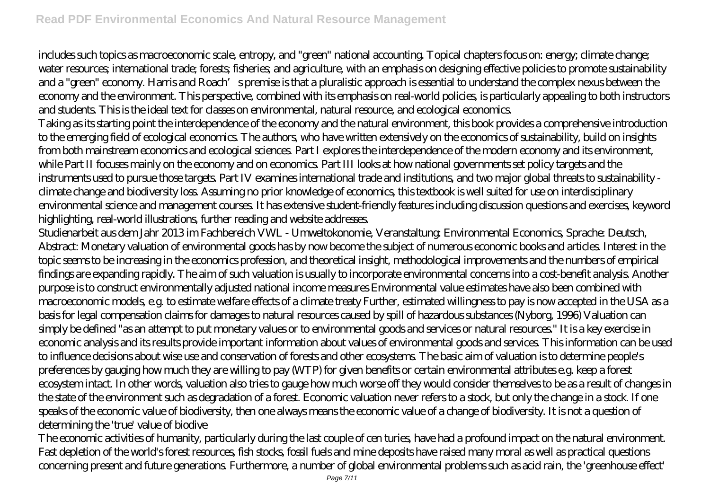includes such topics as macroeconomic scale, entropy, and "green" national accounting. Topical chapters focus on: energy; climate change; water resources; international trade; forests; fisheries; and agriculture, with an emphasis on designing effective policies to promote sustainability and a "green" economy. Harris and Roach's premise is that a pluralistic approach is essential to understand the complex nexus between the economy and the environment. This perspective, combined with its emphasis on real-world policies, is particularly appealing to both instructors and students. This is the ideal text for classes on environmental, natural resource, and ecological economics.

Taking as its starting point the interdependence of the economy and the natural environment, this book provides a comprehensive introduction to the emerging field of ecological economics. The authors, who have written extensively on the economics of sustainability, build on insights from both mainstream economics and ecological sciences. Part I explores the interdependence of the modern economy and its environment, while Part II focuses mainly on the economy and on economics. Part III looks at how national governments set policy targets and the instruments used to pursue those targets. Part IV examines international trade and institutions, and two major global threats to sustainability climate change and biodiversity loss. Assuming no prior knowledge of economics, this textbook is well suited for use on interdisciplinary environmental science and management courses. It has extensive student-friendly features including discussion questions and exercises, keyword highlighting, real-world illustrations, further reading and website addresses.

Studienarbeit aus dem Jahr 2013 im Fachbereich VWL - Umweltokonomie, Veranstaltung: Environmental Economics, Sprache: Deutsch, Abstract: Monetary valuation of environmental goods has by now become the subject of numerous economic books and articles. Interest in the topic seems to be increasing in the economics profession, and theoretical insight, methodological improvements and the numbers of empirical findings are expanding rapidly. The aim of such valuation is usually to incorporate environmental concerns into a cost-benefit analysis. Another purpose is to construct environmentally adjusted national income measures Environmental value estimates have also been combined with macroeconomic models, e.g. to estimate welfare effects of a climate treaty Further, estimated willingness to pay is now accepted in the USA as a basis for legal compensation claims for damages to natural resources caused by spill of hazardous substances (Nyborg, 1996) Valuation can simply be defined "as an attempt to put monetary values or to environmental goods and services or natural resources." It is a key exercise in economic analysis and its results provide important information about values of environmental goods and services. This information can be used to influence decisions about wise use and conservation of forests and other ecosystems. The basic aim of valuation is to determine people's preferences by gauging how much they are willing to pay (WTP) for given benefits or certain environmental attributes e.g. keep a forest ecosystem intact. In other words, valuation also tries to gauge how much worse off they would consider themselves to be as a result of changes in the state of the environment such as degradation of a forest. Economic valuation never refers to a stock, but only the change in a stock. If one speaks of the economic value of biodiversity, then one always means the economic value of a change of biodiversity. It is not a question of determining the 'true' value of biodive

The economic activities of humanity, particularly during the last couple of cen turies, have had a profound impact on the natural environment. Fast depletion of the world's forest resources, fish stocks, fossil fuels and mine deposits have raised many moral as well as practical questions concerning present and future generations. Furthermore, a number of global environmental problems such as acid rain, the 'greenhouse effect'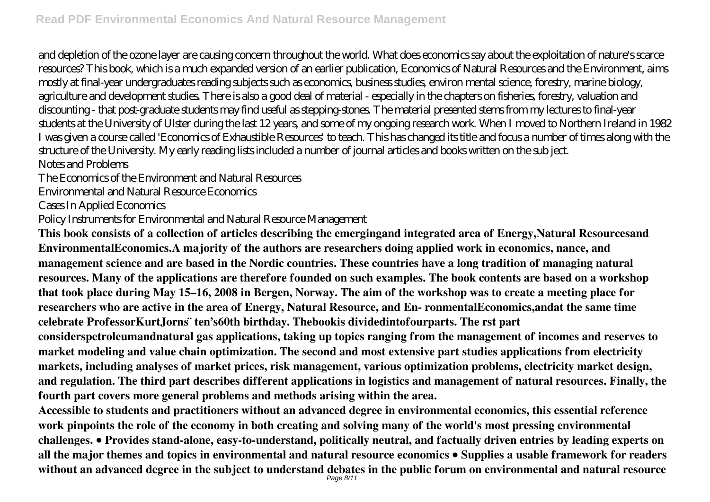and depletion of the ozone layer are causing concern throughout the world. What does economics say about the exploitation of nature's scarce resources? This book, which is a much expanded version of an earlier publication, Economics of Natural Resources and the Environment, aims mostly at final-year undergraduates reading subjects such as economics, business studies, environ mental science, forestry, marine biology, agriculture and development studies. There is also a good deal of material - especially in the chapters on fisheries, forestry, valuation and discounting - that post-graduate students may find useful as stepping-stones. The material presented stems from my lectures to final-year students at the University of Ulster during the last 12 years, and some of my ongoing research work. When I moved to Northern Ireland in 1982 I was given a course called 'Economics of Exhaustible Resources' to teach. This has changed its title and focus a number of times along with the structure of the University. My early reading lists included a number of journal articles and books written on the sub ject. Notes and Problems

The Economics of the Environment and Natural Resources

Environmental and Natural Resource Economics

Cases In Applied Economics

Policy Instruments for Environmental and Natural Resource Management

**This book consists of a collection of articles describing the emergingand integrated area of Energy,Natural Resourcesand EnvironmentalEconomics.A majority of the authors are researchers doing applied work in economics, nance, and management science and are based in the Nordic countries. These countries have a long tradition of managing natural resources. Many of the applications are therefore founded on such examples. The book contents are based on a workshop that took place during May 15–16, 2008 in Bergen, Norway. The aim of the workshop was to create a meeting place for researchers who are active in the area of Energy, Natural Resource, and En- ronmentalEconomics,andat the same time celebrate ProfessorKurtJorns ̈ ten's60th birthday. Thebookis dividedintofourparts. The rst part considerspetroleumandnatural gas applications, taking up topics ranging from the management of incomes and reserves to market modeling and value chain optimization. The second and most extensive part studies applications from electricity markets, including analyses of market prices, risk management, various optimization problems, electricity market design, and regulation. The third part describes different applications in logistics and management of natural resources. Finally, the fourth part covers more general problems and methods arising within the area.**

**Accessible to students and practitioners without an advanced degree in environmental economics, this essential reference work pinpoints the role of the economy in both creating and solving many of the world's most pressing environmental challenges. • Provides stand-alone, easy-to-understand, politically neutral, and factually driven entries by leading experts on all the major themes and topics in environmental and natural resource economics • Supplies a usable framework for readers without an advanced degree in the subject to understand debates in the public forum on environmental and natural resource** Page 8/11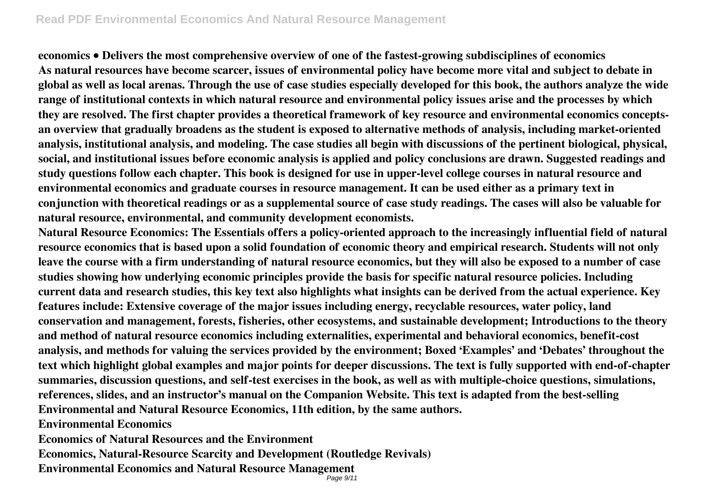**economics • Delivers the most comprehensive overview of one of the fastest-growing subdisciplines of economics As natural resources have become scarcer, issues of environmental policy have become more vital and subject to debate in global as well as local arenas. Through the use of case studies especially developed for this book, the authors analyze the wide range of institutional contexts in which natural resource and environmental policy issues arise and the processes by which they are resolved. The first chapter provides a theoretical framework of key resource and environmental economics conceptsan overview that gradually broadens as the student is exposed to alternative methods of analysis, including market-oriented analysis, institutional analysis, and modeling. The case studies all begin with discussions of the pertinent biological, physical, social, and institutional issues before economic analysis is applied and policy conclusions are drawn. Suggested readings and study questions follow each chapter. This book is designed for use in upper-level college courses in natural resource and environmental economics and graduate courses in resource management. It can be used either as a primary text in conjunction with theoretical readings or as a supplemental source of case study readings. The cases will also be valuable for natural resource, environmental, and community development economists.**

**Natural Resource Economics: The Essentials offers a policy-oriented approach to the increasingly influential field of natural resource economics that is based upon a solid foundation of economic theory and empirical research. Students will not only leave the course with a firm understanding of natural resource economics, but they will also be exposed to a number of case studies showing how underlying economic principles provide the basis for specific natural resource policies. Including current data and research studies, this key text also highlights what insights can be derived from the actual experience. Key features include: Extensive coverage of the major issues including energy, recyclable resources, water policy, land conservation and management, forests, fisheries, other ecosystems, and sustainable development; Introductions to the theory and method of natural resource economics including externalities, experimental and behavioral economics, benefit-cost analysis, and methods for valuing the services provided by the environment; Boxed 'Examples' and 'Debates' throughout the text which highlight global examples and major points for deeper discussions. The text is fully supported with end-of-chapter summaries, discussion questions, and self-test exercises in the book, as well as with multiple-choice questions, simulations, references, slides, and an instructor's manual on the Companion Website. This text is adapted from the best-selling Environmental and Natural Resource Economics, 11th edition, by the same authors. Environmental Economics**

**Economics of Natural Resources and the Environment**

**Economics, Natural-Resource Scarcity and Development (Routledge Revivals)**

**Environmental Economics and Natural Resource Management**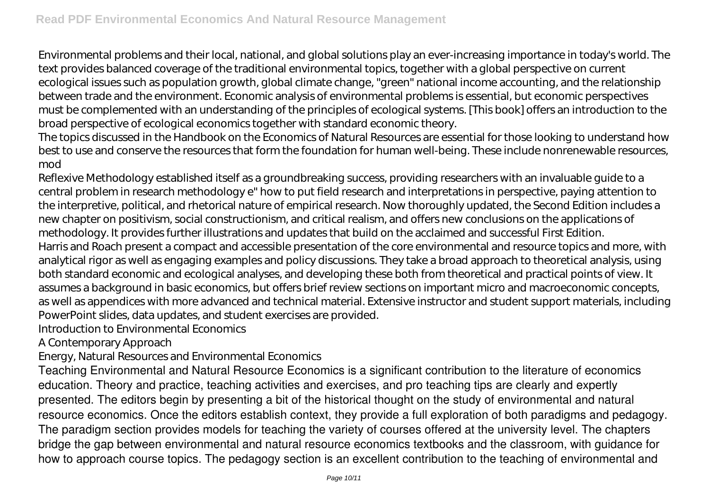Environmental problems and their local, national, and global solutions play an ever-increasing importance in today's world. The text provides balanced coverage of the traditional environmental topics, together with a global perspective on current ecological issues such as population growth, global climate change, "green" national income accounting, and the relationship between trade and the environment. Economic analysis of environmental problems is essential, but economic perspectives must be complemented with an understanding of the principles of ecological systems. [This book] offers an introduction to the broad perspective of ecological economics together with standard economic theory.

The topics discussed in the Handbook on the Economics of Natural Resources are essential for those looking to understand how best to use and conserve the resources that form the foundation for human well-being. These include nonrenewable resources, mod

Reflexive Methodology established itself as a groundbreaking success, providing researchers with an invaluable guide to a central problem in research methodology e" how to put field research and interpretations in perspective, paying attention to the interpretive, political, and rhetorical nature of empirical research. Now thoroughly updated, the Second Edition includes a new chapter on positivism, social constructionism, and critical realism, and offers new conclusions on the applications of methodology. It provides further illustrations and updates that build on the acclaimed and successful First Edition. Harris and Roach present a compact and accessible presentation of the core environmental and resource topics and more, with analytical rigor as well as engaging examples and policy discussions. They take a broad approach to theoretical analysis, using both standard economic and ecological analyses, and developing these both from theoretical and practical points of view. It assumes a background in basic economics, but offers brief review sections on important micro and macroeconomic concepts, as well as appendices with more advanced and technical material. Extensive instructor and student support materials, including PowerPoint slides, data updates, and student exercises are provided.

Introduction to Environmental Economics

A Contemporary Approach

Energy, Natural Resources and Environmental Economics

Teaching Environmental and Natural Resource Economics is a significant contribution to the literature of economics education. Theory and practice, teaching activities and exercises, and pro teaching tips are clearly and expertly presented. The editors begin by presenting a bit of the historical thought on the study of environmental and natural resource economics. Once the editors establish context, they provide a full exploration of both paradigms and pedagogy. The paradigm section provides models for teaching the variety of courses offered at the university level. The chapters bridge the gap between environmental and natural resource economics textbooks and the classroom, with guidance for how to approach course topics. The pedagogy section is an excellent contribution to the teaching of environmental and